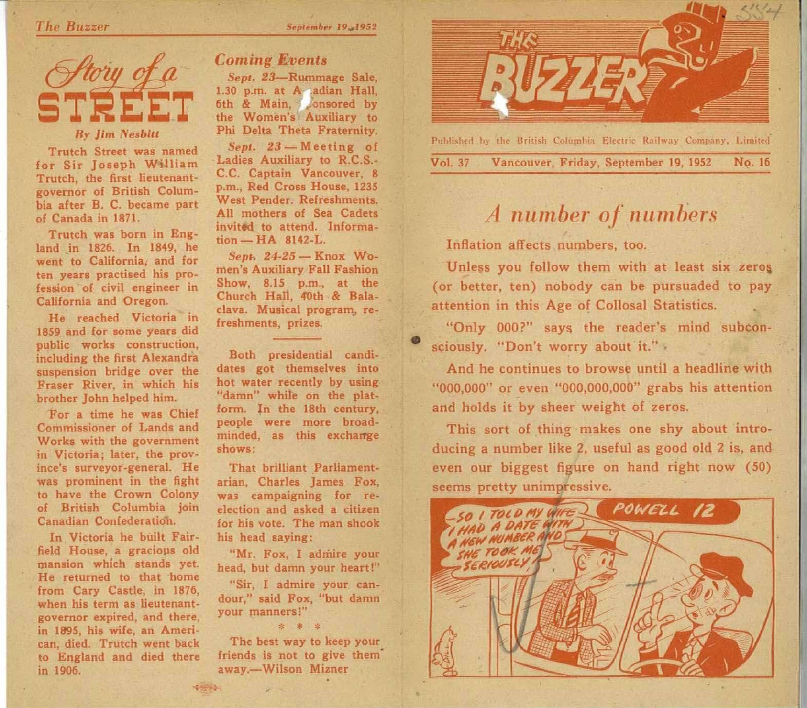

Trutch Street was named for Sir Joseph William Trutch, the first lieutenantgovernor of British Columbia after B. C. became part of Canada in 1871.

Trutch was born in England in 1826. In 1849, he went to California, and for ten years practised his profession of civil engineer in California and Oregon.

He reached Victoria in 1859 and for some years did public works construction, including the first Alexandra suspension bridge over the Fraser River, in which his brother John helped him.

For a time he was Chief Commissioner of Lands and Works with the government in Victoria; later, the province's surveyor-general. He was prominent in the fight to have the Crown Colony of British Columbia join Canadian Confederation.

In Victoria he built Fairfield House, a gracious old mansion which stands yet. He returned to that home from Cary Castle, in 1876, when his term as lieutenantgovernor expired, and there, in 1895, his wife, an American, died. Trutch went back to England and died there in 1906.

## *Coming Events*

*Sept. 23*—Rummage Sale, 1.30 p.m. at A adian Hall, 6th & Main, consored by the Women's Auxiliary to Phi Delta Theta Fraternity.

*Sept.* 23 - Meeting of Ladies Auxiliary to R.C.S.- C.C. Captain Vancouver, 8 p.m., Red Cross House, 1235 West Pender. Refreshments. All mothers of Sea Cadets invited to attend. Informa $tion - HA$  8142-L.

*Sept.* 24-25 - Knox Women's Auxiliary Fall Fashion Show, 8.15 p.m., at the Church Hall, 40th & Balaclava. Musical program, refreshments, prizes.

Both presidential candidates got themselves into hot water recently by using "damn" while on the platform. In the 18th century, people were more broadminded, as this excharrge shows:

That brilliant Parliamentarian, Charles James Fox, was campaigning for reelection and asked a citizen for his vote. The man shook his head saying:

"Mr. Fox, I admire your head, but damn your heart!"

"Sir, I admire your candour," said Fox, "but damn your manners!" **\* \* \*** 

The best way to keep your friends is not to give them' away.—Wilson Mizner

 $\frac{1}{2}$ 



**Published by the British Columbia Electric Railway Company, Limited**  Vol. 37 Vancouver. Friday, September 19, 1952 No. 16

# *A number of numbers*

**Inflation affects numbers, too.** 

**Unless you follow them with at least six zeros, (or better, ten) nobody can be pursuaded to pay attention in this Age of Collosal Statistics.** 

**"Only 000?" says the reader's mind subconsciously. "Don't worry about it." •** 

**And he continues to browse until a headline with "000,000" or even "000,000,000" grabs his attention and holds it by sheer weight of zeros.** 

**This sort of thing makes one shy about introducing a number like 2, useful as good old 2 is, and even our biggest figure on hand right now (50) seems pretty unimpressive.**